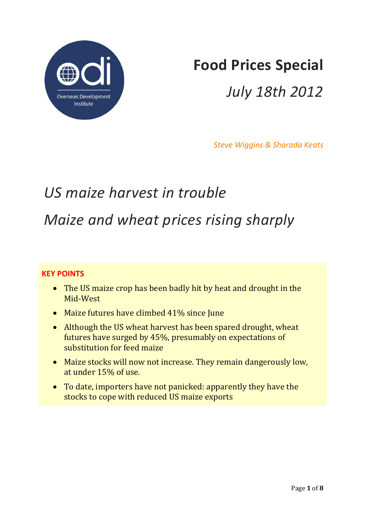

# **Food Prices Special**

# *July 18th 2012*

*Steve Wiggins & Sharada Keats*

# *US maize harvest in trouble Maize and wheat prices rising sharply*

## **KEY POINTS**

- The US maize crop has been badly hit by heat and drought in the Mid-West
- Maize futures have climbed 41% since June
- Although the US wheat harvest has been spared drought, wheat futures have surged by 45%, presumably on expectations of substitution for feed maize
- Maize stocks will now not increase. They remain dangerously low, at under 15% of use.
- To date, importers have not panicked: apparently they have the stocks to cope with reduced US maize exports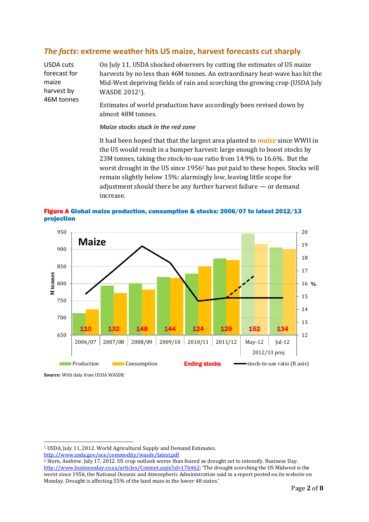### *The facts***: extreme weather hits US maize, harvest forecasts cut sharply**

USDA cuts forecast for maize harvest by 46M tonnes On July 11, USDA shocked observers by cutting the estimates of US maize harvests by no less than 46M tonnes. An extraordinary heat-wave has hit the Mid-West depriving fields of rain and scorching the growing crop (USDA July WASDE 20121).

Estimates of world production have accordingly been revised down by almost 48M tonnes.

#### *Maize stocks stuck in the red zone*

It had been hoped that that the largest area planted to *maize* since WWII in the US would result in a bumper harvest: large enough to boost stocks by 23M tonnes, taking the stock-to-use ratio from 14.9% to 16.6%. But the worst drought in the US since 1956<sup>2</sup> has put paid to these hopes. Stocks will remain slightly below 15%: alarmingly low, leaving little scope for adjustment should there be any further harvest failure — or demand increase.



Figure A Global maize production, consumption & stocks: 2006/07 to latest 2012/13 projection

**Source:** With data from USDA WASDE

 $\overline{\phantom{0}}$ 

<http://www.usda.gov/oce/commodity/wasde/latest.pdf>

<sup>1</sup> USDA, July 11, 2012. World Agricultural Supply and Demand Estimates.

<sup>2</sup> Stern, Andrew. July 17, 2012. US crop outlook worse than feared as drought set to intensify. Business Day. <http://www.businessday.co.za/articles/Content.aspx?id=176462>: 'The drought scorching the US Midwest is the worst since 1956, the National Oceanic and Atmospheric Administration said in a report posted on its website on Monday. Drought is affecting 55% of the land mass in the lower 48 states.'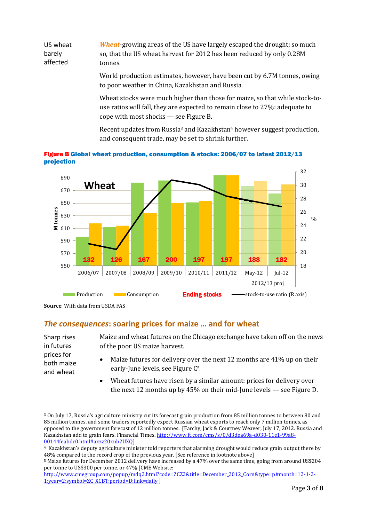US wheat barely affected *Wheat*-growing areas of the US have largely escaped the drought; so much so, that the US wheat harvest for 2012 has been reduced by only 0.28M tonnes.

> World production estimates, however, have been cut by 6.7M tonnes, owing to poor weather in China, Kazakhstan and Russia.

> Wheat stocks were much higher than those for maize, so that while stock-touse ratios will fall, they are expected to remain close to 27%: adequate to cope with most shocks — see Figure B.

> Recent updates from Russia<sup>3</sup> and Kazakhstan<sup>4</sup> however suggest production, and consequent trade, may be set to shrink further.





#### *The consequences***: soaring prices for maize … and for wheat**

Sharp rises in futures prices for both maize and wheat

l

Maize and wheat futures on the Chicago exchange have taken off on the news of the poor US maize harvest.

- Maize futures for delivery over the next 12 months are 41% up on their early-June levels, see Figure C5.
- Wheat futures have risen by a similar amount: prices for delivery over the next 12 months up by 45% on their mid-June levels — see Figure D.

**Source**: With data from USDA FAS

<sup>3</sup> On July 17, Russia's agriculture ministry cut its forecast grain production from 85 million tonnes to between 80 and 85 million tonnes, and some traders reportedly expect Russian wheat exports to reach only 7 million tonnes, as opposed to the government forecast of 12 million tonnes. [Farchy, Jack & Courtney Weaver, July 17, 2012. Russia and Kazakhstan add to grain fears. Financial Times[. http://www.ft.com/cms/s/0/d3dea69a-d030-11e1-99a8-](http://www.ft.com/cms/s/0/d3dea69a-d030-11e1-99a8-00144feabdc0.html#axzz20xnb2UXQ) [00144feabdc0.html#axzz20xnb2UXQ\]](http://www.ft.com/cms/s/0/d3dea69a-d030-11e1-99a8-00144feabdc0.html#axzz20xnb2UXQ)

<sup>4</sup> Kazakhstan's deputy agriculture minister told reporters that alarming drought would reduce grain output there by 48% compared to the record crop of the previous year. [See reference in footnote above]

<sup>5</sup> Maize futures for December 2012 delivery have increased by a 47% over the same time, going from around US\$204 per tonne to US\$300 per tonne, or 47% [CME Website:

[http://www.cmegroup.com/popup/mdq2.html?code=ZCZ2&title=December\\_2012\\_Corn&type=p#month=12-1-2-](http://www.cmegroup.com/popup/mdq2.html?code=ZCZ2&title=December_2012_Corn&type=p#month=12-1-2-1;year=2;symbol=ZC_XCBT;period=D;link=daily) [1;year=2;symbol=ZC\\_XCBT;period=D;link=daily](http://www.cmegroup.com/popup/mdq2.html?code=ZCZ2&title=December_2012_Corn&type=p#month=12-1-2-1;year=2;symbol=ZC_XCBT;period=D;link=daily) ]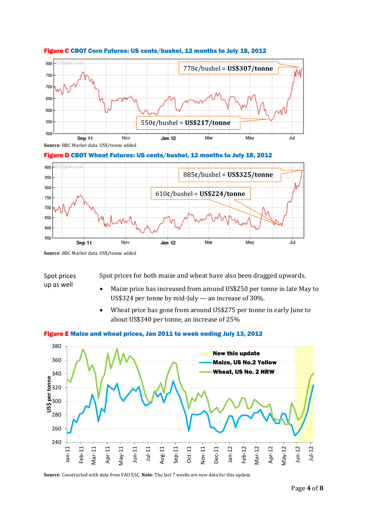

#### Figure C CBOT Corn Futures: US cents/bushel, 12 months to July 18, 2012

**Source**: BBC Market data. US\$/tonne added

#### Figure D CBOT Wheat Futures: US cents/bushel, 12 months to July 18, 2012



**Source**: BBC Market data. US\$/tonne added

#### Spot prices up as well

Spot prices for both maize and wheat have also been dragged upwards.

- Maize price has increased from around US\$250 per tonne in late May to US\$324 per tonne by mid-July — an increase of 30%.
- Wheat price has gone from around US\$275 per tonne in early June to about US\$340 per tonne, an increase of 25%

#### Figure E Maize and wheat prices, Jan 2011 to week ending July 13, 2012



**Source**: Constructed with data from FAO ESC. **Note**: The last 7 weeks are new data for this update.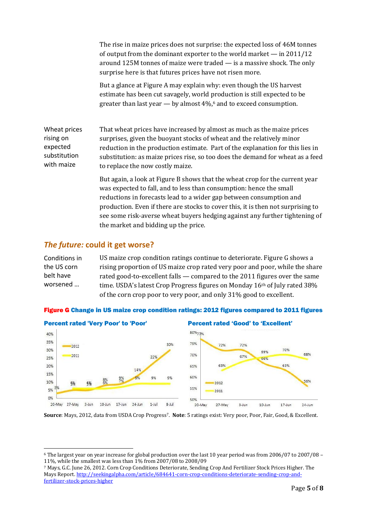The rise in maize prices does not surprise: the expected loss of 46M tonnes of output from the dominant exporter to the world market — in 2011/12 around 125M tonnes of maize were traded — is a massive shock. The only surprise here is that futures prices have not risen more.

But a glance at Figure A may explain why: even though the US harvest estimate has been cut savagely, world production is still expected to be greater than last year — by almost 4%, <sup>6</sup> and to exceed consumption.

Wheat prices rising on expected substitution with maize That wheat prices have increased by almost as much as the maize prices surprises, given the buoyant stocks of wheat and the relatively minor reduction in the production estimate. Part of the explanation for this lies in substitution: as maize prices rise, so too does the demand for wheat as a feed to replace the now costly maize.

> But again, a look at Figure B shows that the wheat crop for the current year was expected to fall, and to less than consumption: hence the small reductions in forecasts lead to a wider gap between consumption and production. Even if there are stocks to cover this, it is then not surprising to see some risk-averse wheat buyers hedging against any further tightening of the market and bidding up the price.

#### *The future:* **could it get worse?**

l

Conditions in the US corn belt have worsened … US maize crop condition ratings continue to deteriorate. Figure G shows a rising proportion of US maize crop rated very poor and poor, while the share rated good-to-excellent falls — compared to the 2011 figures over the same time. USDA's latest Crop Progress figures on Monday 16<sup>th</sup> of July rated 38% of the corn crop poor to very poor, and only 31% good to excellent.





**Source**: Mays, 2012, data from USDA Crop Progress7. **Note**: 5 ratings exist: Very poor, Poor, Fair, Good, & Excellent.

<sup>6</sup> The largest year on year increase for global production over the last 10 year period was from 2006/07 to 2007/08 – 11%, while the smallest was less than 1% from 2007/08 to 2008/09

<sup>7</sup> Mays, G.C. June 26, 2012. Corn Crop Conditions Deteriorate, Sending Crop And Fertilizer Stock Prices Higher. The Mays Report[. http://seekingalpha.com/article/684641-corn-crop-conditions-deteriorate-sending-crop-and](http://seekingalpha.com/article/684641-corn-crop-conditions-deteriorate-sending-crop-and-fertilizer-stock-prices-higher)[fertilizer-stock-prices-higher](http://seekingalpha.com/article/684641-corn-crop-conditions-deteriorate-sending-crop-and-fertilizer-stock-prices-higher)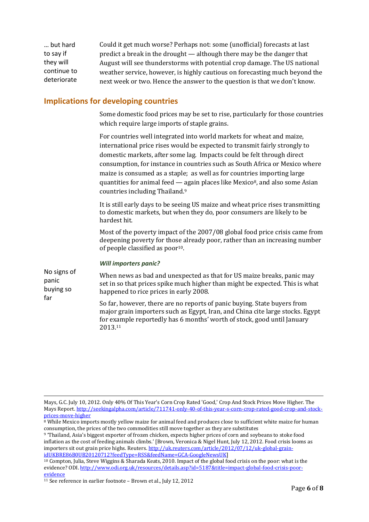… but hard to say if they will continue to deteriorate Could it get much worse? Perhaps not: some (unofficial) forecasts at last predict a break in the drought — although there may be the danger that August will see thunderstorms with potential crop damage. The US national weather service, however, is highly cautious on forecasting much beyond the next week or two. Hence the answer to the question is that we don't know.

#### **Implications for developing countries**

Some domestic food prices may be set to rise, particularly for those countries which require large imports of staple grains.

For countries well integrated into world markets for wheat and maize, international price rises would be expected to transmit fairly strongly to domestic markets, after some lag. Impacts could be felt through direct consumption, for instance in countries such as South Africa or Mexico where maize is consumed as a staple; as well as for countries importing large quantities for animal feed  $-$  again places like Mexico<sup>8</sup>, and also some Asian countries including Thailand.<sup>9</sup>

It is still early days to be seeing US maize and wheat price rises transmitting to domestic markets, but when they do, poor consumers are likely to be hardest hit.

Most of the poverty impact of the 2007/08 global food price crisis came from deepening poverty for those already poor, rather than an increasing number of people classified as poor10.

#### *Will importers panic?*

No signs of panic buying so far When news as bad and unexpected as that for US maize breaks, panic may set in so that prices spike much higher than might be expected. This is what happened to rice prices in early 2008.

So far, however, there are no reports of panic buying. State buyers from major grain importers such as Egypt, Iran, and China cite large stocks. Egypt for example reportedly has 6 months' worth of stock, good until January 2013.<sup>11</sup>

 $\overline{\phantom{0}}$ 

Mays, G.C. July 10, 2012. Only 40% Of This Year's Corn Crop Rated 'Good,' Crop And Stock Prices Move Higher. The Mays Report[. http://seekingalpha.com/article/711741-only-40-of-this-year-s-corn-crop-rated-good-crop-and-stock](http://seekingalpha.com/article/711741-only-40-of-this-year-s-corn-crop-rated-good-crop-and-stock-prices-move-higher)[prices-move-higher](http://seekingalpha.com/article/711741-only-40-of-this-year-s-corn-crop-rated-good-crop-and-stock-prices-move-higher)

<sup>&</sup>lt;sup>8</sup> While Mexico imports mostly yellow maize for animal feed and produces close to sufficient white maize for human consumption, the prices of the two commodities still move together as they are substitutes

<sup>9</sup> 'Thailand, Asia's biggest exporter of frozen chicken, expects higher prices of corn and soybeans to stoke food inflation as the cost of feeding animals climbs.' [Brown, Veronica & Nigel Hunt, July 12, 2012. Food crisis looms as importers sit out grain price highs. Reuters[. http://uk.reuters.com/article/2012/07/12/uk-global-grain](http://uk.reuters.com/article/2012/07/12/uk-global-grain-idUKBRE86B0UB20120712?feedType=RSS&feedName=GCA-GoogleNewsUK)[idUKBRE86B0UB20120712?feedType=RSS&feedName=GCA-GoogleNewsUK\]](http://uk.reuters.com/article/2012/07/12/uk-global-grain-idUKBRE86B0UB20120712?feedType=RSS&feedName=GCA-GoogleNewsUK)

<sup>10</sup> Compton, Julia, Steve Wiggins & Sharada Keats, 2010. Impact of the global food crisis on the poor: what is the evidence? ODI[. http://www.odi.org.uk/resources/details.asp?id=5187&title=impact-global-food-crisis-poor](http://www.odi.org.uk/resources/details.asp?id=5187&title=impact-global-food-crisis-poor-evidence)[evidence](http://www.odi.org.uk/resources/details.asp?id=5187&title=impact-global-food-crisis-poor-evidence)

<sup>11</sup> See reference in earlier footnote – Brown et al., July 12, 2012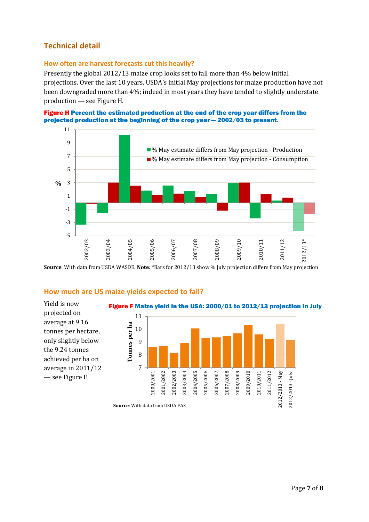### **Technical detail**

#### **How often are harvest forecasts cut this heavily?**

Presently the global 2012/13 maize crop looks set to fall more than 4% below initial projections. Over the last 10 years, USDA's initial May projections for maize production have not been downgraded more than 4%; indeed in most years they have tended to slightly understate production — see Figure H.





**Source**: With data from USDA WASDE. **Note**: \*Bars for 2012/13 show % July projection differs from May projection

#### **How much are US maize yields expected to fall?**

Yield is now projected on average at 9.16 tonnes per hectare, only slightly below the 9.24 tonnes achieved per ha on average in 2011/12 — see Figure F.

Figure F Maize yield in the USA: 2000/01 to 2012/13 projection in July